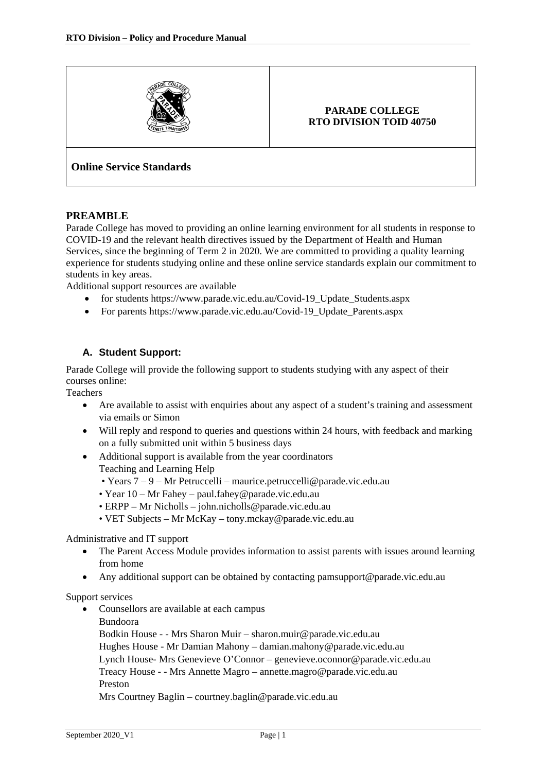

#### **PARADE COLLEGE RTO DIVISION TOID 40750**

# **Online Service Standards**

#### **PREAMBLE**

Parade College has moved to providing an online learning environment for all students in response to COVID-19 and the relevant health directives issued by the Department of Health and Human Services, since the beginning of Term 2 in 2020. We are committed to providing a quality learning experience for students studying online and these online service standards explain our commitment to students in key areas.

Additional support resources are available

- for students [https://www.parade.vic.edu.au/Covid-19\\_Update\\_Students.aspx](https://www.parade.vic.edu.au/Covid-19_Update_Students.aspx)
- For parents https://www.parade.vic.edu.au/Covid-19 Update Parents.aspx

## **A. Student Support:**

Parade College will provide the following support to students studying with any aspect of their courses online:

**Teachers** 

- Are available to assist with enquiries about any aspect of a student's training and assessment via emails or Simon
- Will reply and respond to queries and questions within 24 hours, with feedback and marking on a fully submitted unit within 5 business days
- Additional support is available from the year coordinators Teaching and Learning Help
	- Years 7 9 Mr Petruccelli maurice.petruccelli@parade.vic.edu.au
	- Year 10 Mr Fahey [paul.fahey@parade.vic.edu.au](mailto:paul.fahey@parade.vic.edu.au)
	- ERPP Mr Nicholls john.nicholls@parade.vic.edu.au
	- VET Subjects Mr McKay tony.mckay@parade.vic.edu.au

Administrative and IT support

- The Parent Access Module provides information to assist parents with issues around learning from home
- Any additional support can be obtained by contacting [pamsupport@parade.vic.edu.au](mailto:pamsupport@parade.vic.edu.au)

#### Support services

• Counsellors are available at each campus

Bundoora

Bodkin House - - Mrs Sharon Muir – [sharon.muir@parade.vic.edu.au](mailto:sharon.muir@parade.vic.edu.au) Hughes House - Mr Damian Mahony – [damian.mahony@parade.vic.edu.au](mailto:damian.mahony@parade.vic.edu.au) Lynch House- Mrs Genevieve O'Connor – [genevieve.oconnor@parade.vic.edu.au](mailto:genevieve.oconnor@parade.vic.edu.au) Treacy House - - Mrs Annette Magro – [annette.magro@parade.vic.edu.au](mailto:annette.magro@parade.vic.edu.au) Preston Mrs Courtney Baglin – [courtney.baglin@parade.vic.edu.au](mailto:courtney.baglin@parade.vic.edu.au)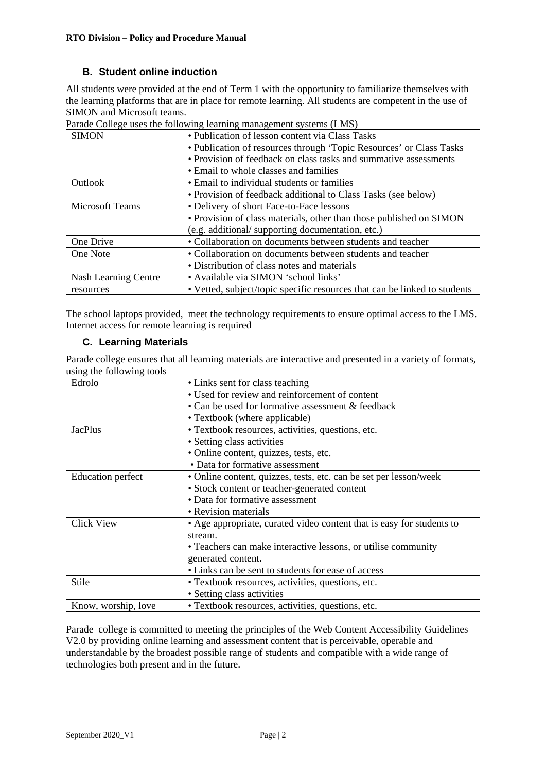## **B. Student online induction**

All students were provided at the end of Term 1 with the opportunity to familiarize themselves with the learning platforms that are in place for remote learning. All students are competent in the use of SIMON and Microsoft teams.

| <b>SIMON</b>           | • Publication of lesson content via Class Tasks                           |
|------------------------|---------------------------------------------------------------------------|
|                        | • Publication of resources through 'Topic Resources' or Class Tasks       |
|                        | • Provision of feedback on class tasks and summative assessments          |
|                        | • Email to whole classes and families                                     |
| Outlook                | • Email to individual students or families                                |
|                        | • Provision of feedback additional to Class Tasks (see below)             |
| <b>Microsoft Teams</b> | • Delivery of short Face-to-Face lessons                                  |
|                        | • Provision of class materials, other than those published on SIMON       |
|                        | (e.g. additional/supporting documentation, etc.)                          |
| One Drive              | • Collaboration on documents between students and teacher                 |
| One Note               | • Collaboration on documents between students and teacher                 |
|                        | • Distribution of class notes and materials                               |
| Nash Learning Centre   | • Available via SIMON 'school links'                                      |
| resources              | • Vetted, subject/topic specific resources that can be linked to students |

Parade College uses the following learning management systems (LMS)

The school laptops provided, meet the technology requirements to ensure optimal access to the LMS. Internet access for remote learning is required

## **C. Learning Materials**

Parade college ensures that all learning materials are interactive and presented in a variety of formats, using the following tools

| $\mu$ <sub>1</sub> , $\mu$ <sub>1</sub> , $\mu$ <sub>11,</sub> |                                                                       |
|----------------------------------------------------------------|-----------------------------------------------------------------------|
| Edrolo                                                         | • Links sent for class teaching                                       |
|                                                                | • Used for review and reinforcement of content                        |
|                                                                | • Can be used for formative assessment & feedback                     |
|                                                                | • Textbook (where applicable)                                         |
| <b>JacPlus</b>                                                 | • Textbook resources, activities, questions, etc.                     |
|                                                                | • Setting class activities                                            |
|                                                                | • Online content, quizzes, tests, etc.                                |
|                                                                | • Data for formative assessment                                       |
| <b>Education</b> perfect                                       | • Online content, quizzes, tests, etc. can be set per lesson/week     |
|                                                                | • Stock content or teacher-generated content                          |
|                                                                | • Data for formative assessment                                       |
|                                                                | • Revision materials                                                  |
| <b>Click View</b>                                              | • Age appropriate, curated video content that is easy for students to |
|                                                                | stream.                                                               |
|                                                                | • Teachers can make interactive lessons, or utilise community         |
|                                                                | generated content.                                                    |
|                                                                | • Links can be sent to students for ease of access                    |
| Stile                                                          | • Textbook resources, activities, questions, etc.                     |
|                                                                | • Setting class activities                                            |
| Know, worship, love                                            | • Textbook resources, activities, questions, etc.                     |

Parade college is committed to meeting the principles of the Web Content Accessibility Guidelines V2.0 by providing online learning and assessment content that is perceivable, operable and understandable by the broadest possible range of students and compatible with a wide range of technologies both present and in the future.